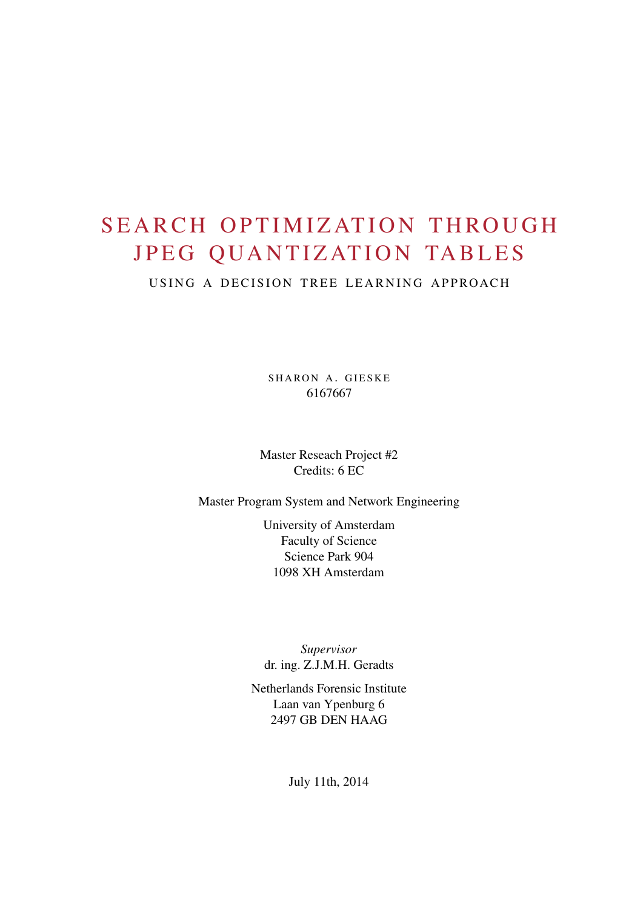# SEARCH OPTIMIZATION THROUGH JPEG QUANTIZATION TABLES

USING A DECISION TREE LEARNING APPROACH

SHARON A. GIESKE 6167667

Master Reseach Project #2 Credits: 6 EC

Master Program System and Network Engineering

University of Amsterdam Faculty of Science Science Park 904 1098 XH Amsterdam

*Supervisor* dr. ing. Z.J.M.H. Geradts

Netherlands Forensic Institute Laan van Ypenburg 6 2497 GB DEN HAAG

July 11th, 2014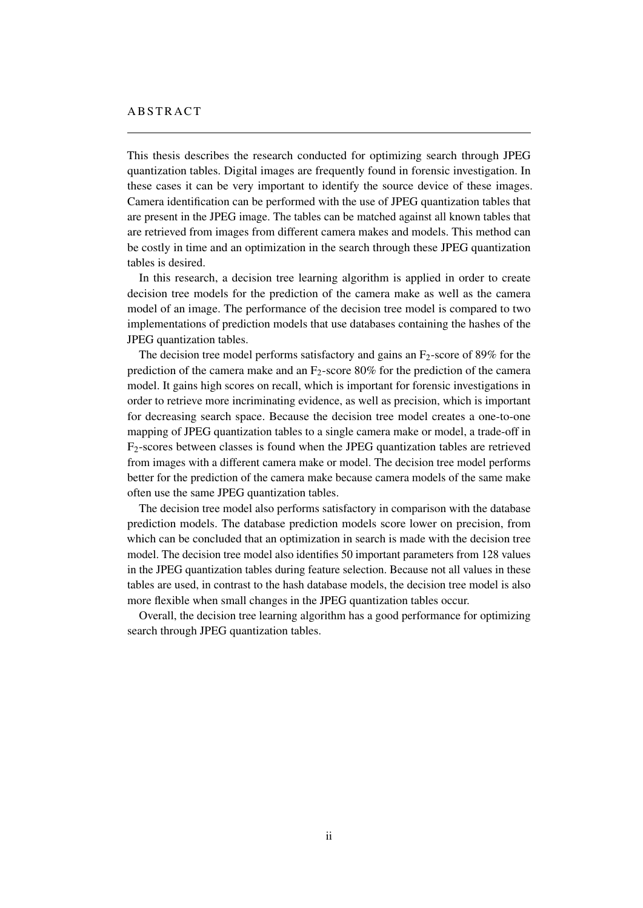This thesis describes the research conducted for optimizing search through JPEG quantization tables. Digital images are frequently found in forensic investigation. In these cases it can be very important to identify the source device of these images. Camera identification can be performed with the use of JPEG quantization tables that are present in the JPEG image. The tables can be matched against all known tables that are retrieved from images from different camera makes and models. This method can be costly in time and an optimization in the search through these JPEG quantization tables is desired.

In this research, a decision tree learning algorithm is applied in order to create decision tree models for the prediction of the camera make as well as the camera model of an image. The performance of the decision tree model is compared to two implementations of prediction models that use databases containing the hashes of the JPEG quantization tables.

The decision tree model performs satisfactory and gains an  $F_2$ -score of 89% for the prediction of the camera make and an  $F_2$ -score 80% for the prediction of the camera model. It gains high scores on recall, which is important for forensic investigations in order to retrieve more incriminating evidence, as well as precision, which is important for decreasing search space. Because the decision tree model creates a one-to-one mapping of JPEG quantization tables to a single camera make or model, a trade-off in  $F<sub>2</sub>$ -scores between classes is found when the JPEG quantization tables are retrieved from images with a different camera make or model. The decision tree model performs better for the prediction of the camera make because camera models of the same make often use the same JPEG quantization tables.

The decision tree model also performs satisfactory in comparison with the database prediction models. The database prediction models score lower on precision, from which can be concluded that an optimization in search is made with the decision tree model. The decision tree model also identifies 50 important parameters from 128 values in the JPEG quantization tables during feature selection. Because not all values in these tables are used, in contrast to the hash database models, the decision tree model is also more flexible when small changes in the JPEG quantization tables occur.

Overall, the decision tree learning algorithm has a good performance for optimizing search through JPEG quantization tables.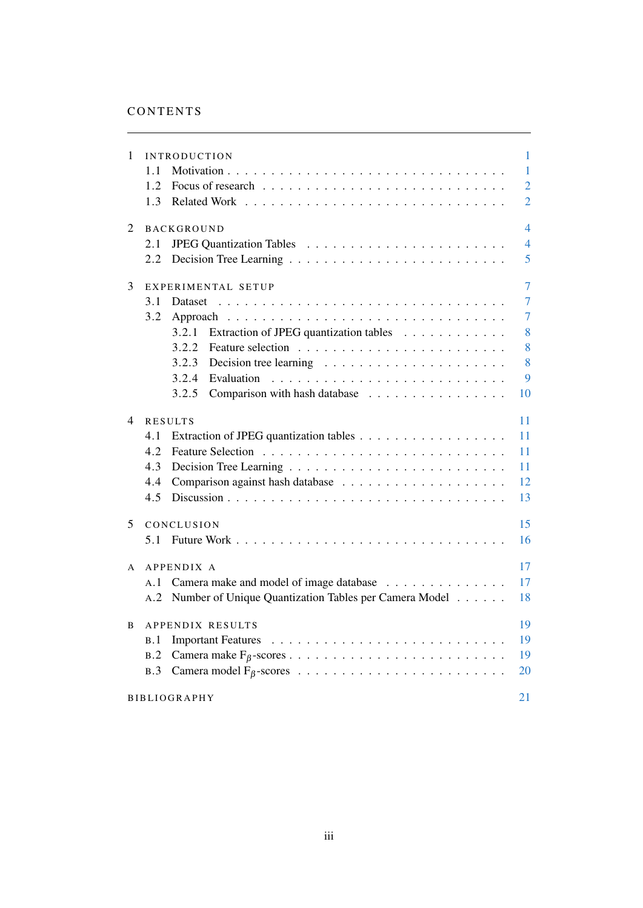| 1            | <b>INTRODUCTION</b>                                                                | 1              |
|--------------|------------------------------------------------------------------------------------|----------------|
|              | 1.1                                                                                | $\mathbf{1}$   |
|              | 1.2                                                                                | $\overline{2}$ |
|              | 1.3                                                                                | $\overline{2}$ |
| 2            | <b>BACKGROUND</b>                                                                  | $\overline{4}$ |
|              | 2.1                                                                                | $\overline{4}$ |
|              | 2.2                                                                                | 5              |
| 3            | EXPERIMENTAL SETUP                                                                 | $\overline{7}$ |
|              | 3.1<br>Dataset                                                                     | $\overline{7}$ |
|              | 3.2<br>Approach                                                                    | $\tau$         |
|              | Extraction of JPEG quantization tables<br>3.2.1                                    | 8              |
|              | 3.2.2                                                                              | 8              |
|              | 3.2.3<br>Decision tree learning $\ldots \ldots \ldots \ldots \ldots \ldots \ldots$ | 8              |
|              | 3.2.4<br>Evaluation                                                                | 9              |
|              | 3.2.5<br>Comparison with hash database                                             | 10             |
| 4            | <b>RESULTS</b>                                                                     | 11             |
|              | 4.1                                                                                | 11             |
|              | 4.2                                                                                | 11             |
|              | 4.3                                                                                | 11             |
|              | 4.4                                                                                | 12             |
|              | 4.5                                                                                | 13             |
| 5            | CONCLUSION                                                                         | 15             |
|              | 5.1                                                                                | 16             |
|              |                                                                                    |                |
| $\mathsf{A}$ | APPENDIX A                                                                         | 17             |
|              | Camera make and model of image database<br>A.1                                     | 17             |
|              | Number of Unique Quantization Tables per Camera Model<br>A.2                       | 18             |
| B            | APPENDIX RESULTS                                                                   | 19             |
|              | B.1                                                                                | 19             |
|              | B.2                                                                                | 19             |
|              | B.3                                                                                | 20             |
|              | <b>BIBLIOGRAPHY</b>                                                                | 21             |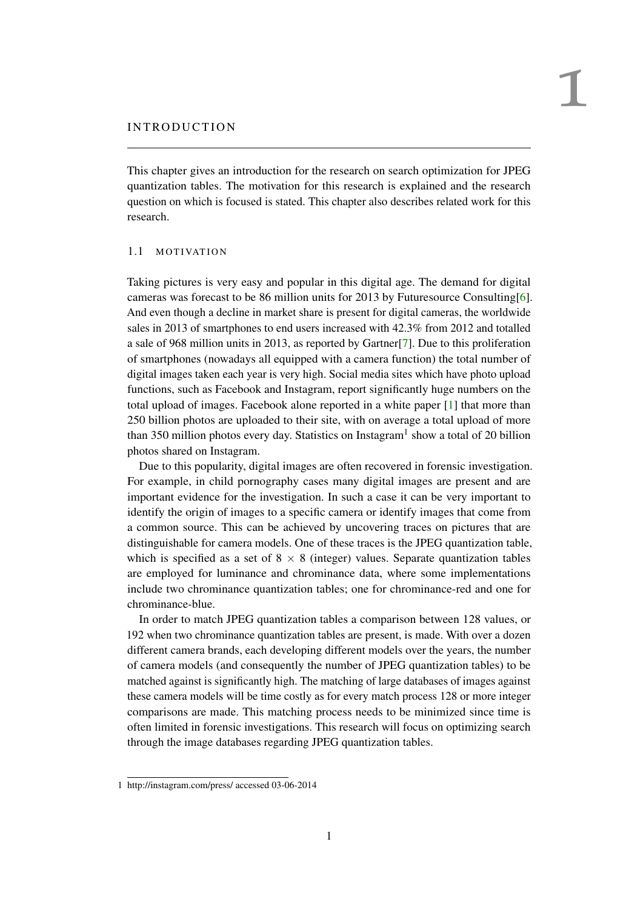# <span id="page-3-0"></span>IN TRODUCTION

This chapter gives an introduction for the research on search optimization for JPEG quantization tables. The motivation for this research is explained and the research question on which is focused is stated. This chapter also describes related work for this research.

#### <span id="page-3-1"></span>1.1 MOTIVATION

Taking pictures is very easy and popular in this digital age. The demand for digital cameras was forecast to be 86 million units for 2013 by Futuresource Consulting[\[6\]](#page-23-1). And even though a decline in market share is present for digital cameras, the worldwide sales in 2013 of smartphones to end users increased with 42.3% from 2012 and totalled a sale of 968 million units in 2013, as reported by Gartner[\[7\]](#page-23-2). Due to this proliferation of smartphones (nowadays all equipped with a camera function) the total number of digital images taken each year is very high. Social media sites which have photo upload functions, such as Facebook and Instagram, report significantly huge numbers on the total upload of images. Facebook alone reported in a white paper [\[1\]](#page-23-3) that more than 250 billion photos are uploaded to their site, with on average a total upload of more than 350 million photos every day. Statistics on Instagram<sup>1</sup> show a total of 20 billion photos shared on Instagram.

Due to this popularity, digital images are often recovered in forensic investigation. For example, in child pornography cases many digital images are present and are important evidence for the investigation. In such a case it can be very important to identify the origin of images to a specific camera or identify images that come from a common source. This can be achieved by uncovering traces on pictures that are distinguishable for camera models. One of these traces is the JPEG quantization table, which is specified as a set of  $8 \times 8$  (integer) values. Separate quantization tables are employed for luminance and chrominance data, where some implementations include two chrominance quantization tables; one for chrominance-red and one for chrominance-blue.

In order to match JPEG quantization tables a comparison between 128 values, or 192 when two chrominance quantization tables are present, is made. With over a dozen different camera brands, each developing different models over the years, the number of camera models (and consequently the number of JPEG quantization tables) to be matched against is significantly high. The matching of large databases of images against these camera models will be time costly as for every match process 128 or more integer comparisons are made. This matching process needs to be minimized since time is often limited in forensic investigations. This research will focus on optimizing search through the image databases regarding JPEG quantization tables.

<sup>1</sup> http://instagram.com/press/ accessed 03-06-2014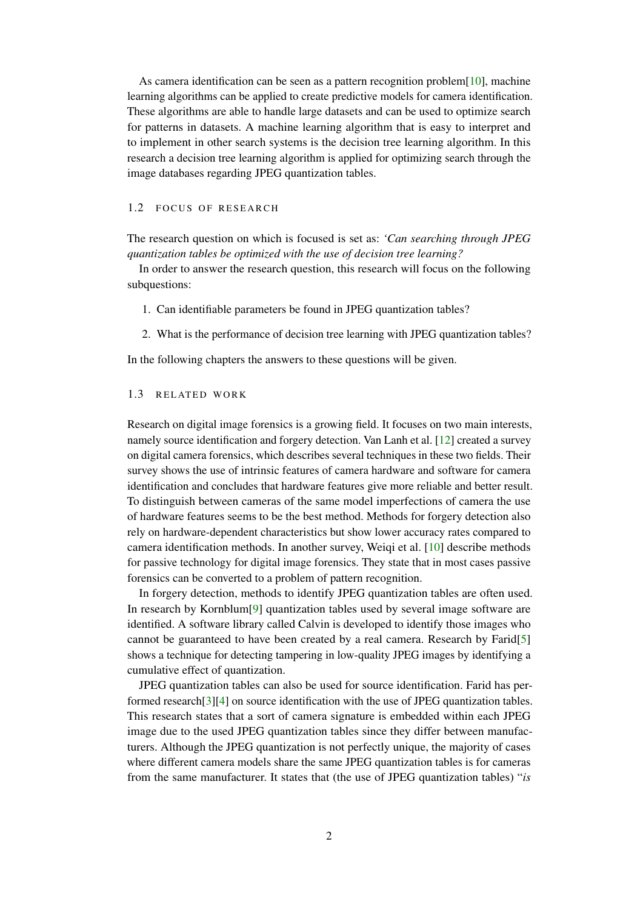As camera identification can be seen as a pattern recognition problem [\[10\]](#page-23-4), machine learning algorithms can be applied to create predictive models for camera identification. These algorithms are able to handle large datasets and can be used to optimize search for patterns in datasets. A machine learning algorithm that is easy to interpret and to implement in other search systems is the decision tree learning algorithm. In this research a decision tree learning algorithm is applied for optimizing search through the image databases regarding JPEG quantization tables.

#### <span id="page-4-0"></span>1.2 FOCUS OF RESEARCH

The research question on which is focused is set as: *'Can searching through JPEG quantization tables be optimized with the use of decision tree learning?*

In order to answer the research question, this research will focus on the following subquestions:

- 1. Can identifiable parameters be found in JPEG quantization tables?
- 2. What is the performance of decision tree learning with JPEG quantization tables?

<span id="page-4-1"></span>In the following chapters the answers to these questions will be given.

# 1.3 RELATED WORK

Research on digital image forensics is a growing field. It focuses on two main interests, namely source identification and forgery detection. Van Lanh et al. [\[12\]](#page-23-5) created a survey on digital camera forensics, which describes several techniques in these two fields. Their survey shows the use of intrinsic features of camera hardware and software for camera identification and concludes that hardware features give more reliable and better result. To distinguish between cameras of the same model imperfections of camera the use of hardware features seems to be the best method. Methods for forgery detection also rely on hardware-dependent characteristics but show lower accuracy rates compared to camera identification methods. In another survey, Weiqi et al. [\[10\]](#page-23-4) describe methods for passive technology for digital image forensics. They state that in most cases passive forensics can be converted to a problem of pattern recognition.

In forgery detection, methods to identify JPEG quantization tables are often used. In research by Kornblum[\[9\]](#page-23-6) quantization tables used by several image software are identified. A software library called Calvin is developed to identify those images who cannot be guaranteed to have been created by a real camera. Research by Farid[\[5\]](#page-23-7) shows a technique for detecting tampering in low-quality JPEG images by identifying a cumulative effect of quantization.

JPEG quantization tables can also be used for source identification. Farid has performed research[\[3\]](#page-23-8)[\[4\]](#page-23-9) on source identification with the use of JPEG quantization tables. This research states that a sort of camera signature is embedded within each JPEG image due to the used JPEG quantization tables since they differ between manufacturers. Although the JPEG quantization is not perfectly unique, the majority of cases where different camera models share the same JPEG quantization tables is for cameras from the same manufacturer. It states that (the use of JPEG quantization tables) "*is*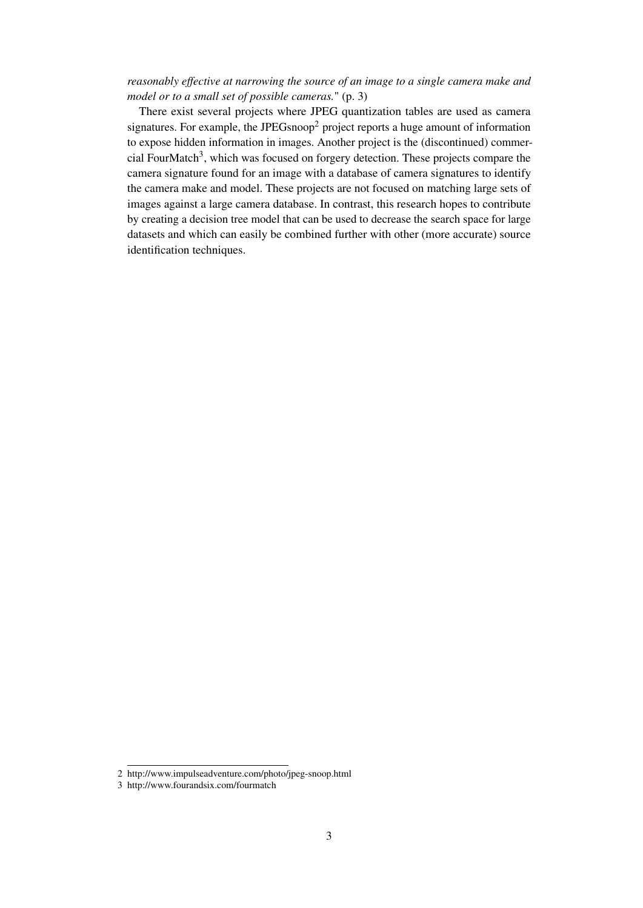# *reasonably effective at narrowing the source of an image to a single camera make and model or to a small set of possible cameras.*" (p. 3)

There exist several projects where JPEG quantization tables are used as camera signatures. For example, the JPEGsnoop<sup>2</sup> project reports a huge amount of information to expose hidden information in images. Another project is the (discontinued) commercial FourMatch<sup>3</sup>, which was focused on forgery detection. These projects compare the camera signature found for an image with a database of camera signatures to identify the camera make and model. These projects are not focused on matching large sets of images against a large camera database. In contrast, this research hopes to contribute by creating a decision tree model that can be used to decrease the search space for large datasets and which can easily be combined further with other (more accurate) source identification techniques.

<sup>2</sup> http://www.impulseadventure.com/photo/jpeg-snoop.html

<sup>3</sup> http://www.fourandsix.com/fourmatch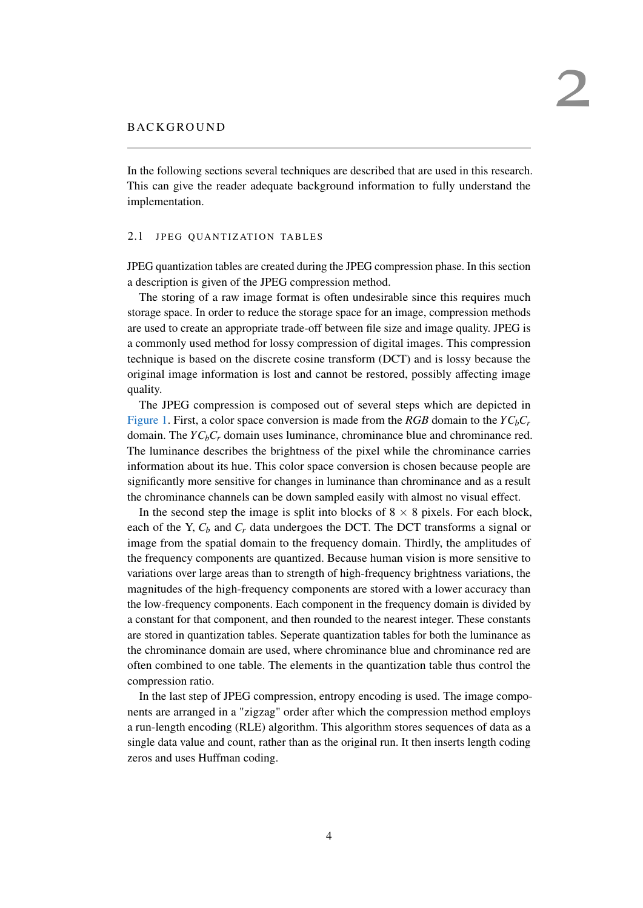<span id="page-6-0"></span>In the following sections several techniques are described that are used in this research. This can give the reader adequate background information to fully understand the implementation.

#### <span id="page-6-1"></span>2.1 JPEG QUANTIZATION TABLES

JPEG quantization tables are created during the JPEG compression phase. In this section a description is given of the JPEG compression method.

The storing of a raw image format is often undesirable since this requires much storage space. In order to reduce the storage space for an image, compression methods are used to create an appropriate trade-off between file size and image quality. JPEG is a commonly used method for lossy compression of digital images. This compression technique is based on the discrete cosine transform (DCT) and is lossy because the original image information is lost and cannot be restored, possibly affecting image quality.

The JPEG compression is composed out of several steps which are depicted in [Figure 1.](#page-7-1) First, a color space conversion is made from the *RGB* domain to the  $YC_bC_r$ domain. The  $YC_bC_r$  domain uses luminance, chrominance blue and chrominance red. The luminance describes the brightness of the pixel while the chrominance carries information about its hue. This color space conversion is chosen because people are significantly more sensitive for changes in luminance than chrominance and as a result the chrominance channels can be down sampled easily with almost no visual effect.

In the second step the image is split into blocks of  $8 \times 8$  pixels. For each block, each of the Y,  $C_b$  and  $C_r$  data undergoes the DCT. The DCT transforms a signal or image from the spatial domain to the frequency domain. Thirdly, the amplitudes of the frequency components are quantized. Because human vision is more sensitive to variations over large areas than to strength of high-frequency brightness variations, the magnitudes of the high-frequency components are stored with a lower accuracy than the low-frequency components. Each component in the frequency domain is divided by a constant for that component, and then rounded to the nearest integer. These constants are stored in quantization tables. Seperate quantization tables for both the luminance as the chrominance domain are used, where chrominance blue and chrominance red are often combined to one table. The elements in the quantization table thus control the compression ratio.

In the last step of JPEG compression, entropy encoding is used. The image components are arranged in a "zigzag" order after which the compression method employs a run-length encoding (RLE) algorithm. This algorithm stores sequences of data as a single data value and count, rather than as the original run. It then inserts length coding zeros and uses Huffman coding.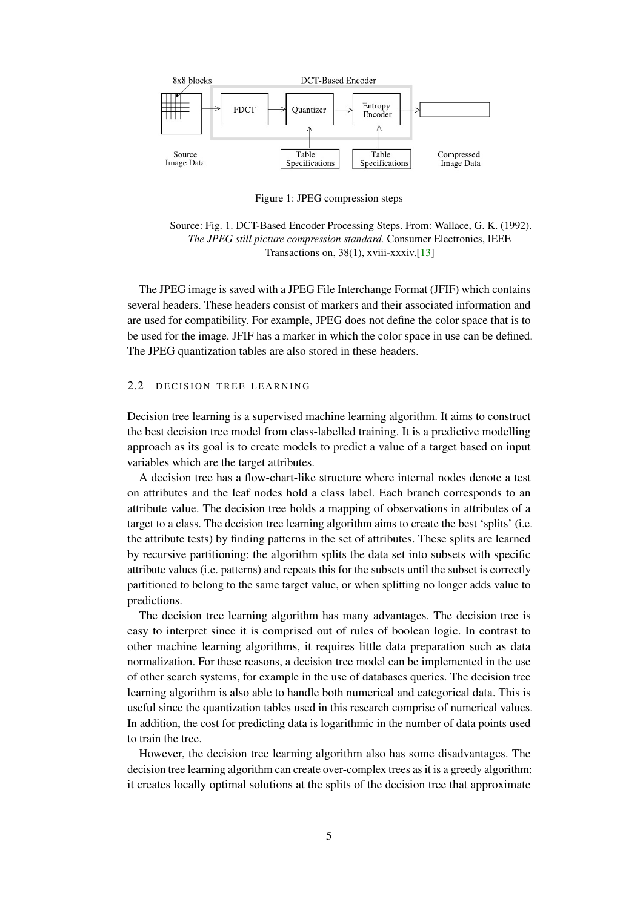<span id="page-7-1"></span>

Figure 1: JPEG compression steps

Source: Fig. 1. DCT-Based Encoder Processing Steps. From: Wallace, G. K. (1992). *The JPEG still picture compression standard.* Consumer Electronics, IEEE Transactions on, 38(1), xviii-xxxiv.[\[13\]](#page-23-10)

The JPEG image is saved with a JPEG File Interchange Format (JFIF) which contains several headers. These headers consist of markers and their associated information and are used for compatibility. For example, JPEG does not define the color space that is to be used for the image. JFIF has a marker in which the color space in use can be defined. The JPEG quantization tables are also stored in these headers.

# <span id="page-7-0"></span>2.2 DECISION TREE LEARNING

Decision tree learning is a supervised machine learning algorithm. It aims to construct the best decision tree model from class-labelled training. It is a predictive modelling approach as its goal is to create models to predict a value of a target based on input variables which are the target attributes.

A decision tree has a flow-chart-like structure where internal nodes denote a test on attributes and the leaf nodes hold a class label. Each branch corresponds to an attribute value. The decision tree holds a mapping of observations in attributes of a target to a class. The decision tree learning algorithm aims to create the best 'splits' (i.e. the attribute tests) by finding patterns in the set of attributes. These splits are learned by recursive partitioning: the algorithm splits the data set into subsets with specific attribute values (i.e. patterns) and repeats this for the subsets until the subset is correctly partitioned to belong to the same target value, or when splitting no longer adds value to predictions.

The decision tree learning algorithm has many advantages. The decision tree is easy to interpret since it is comprised out of rules of boolean logic. In contrast to other machine learning algorithms, it requires little data preparation such as data normalization. For these reasons, a decision tree model can be implemented in the use of other search systems, for example in the use of databases queries. The decision tree learning algorithm is also able to handle both numerical and categorical data. This is useful since the quantization tables used in this research comprise of numerical values. In addition, the cost for predicting data is logarithmic in the number of data points used to train the tree.

However, the decision tree learning algorithm also has some disadvantages. The decision tree learning algorithm can create over-complex trees as it is a greedy algorithm: it creates locally optimal solutions at the splits of the decision tree that approximate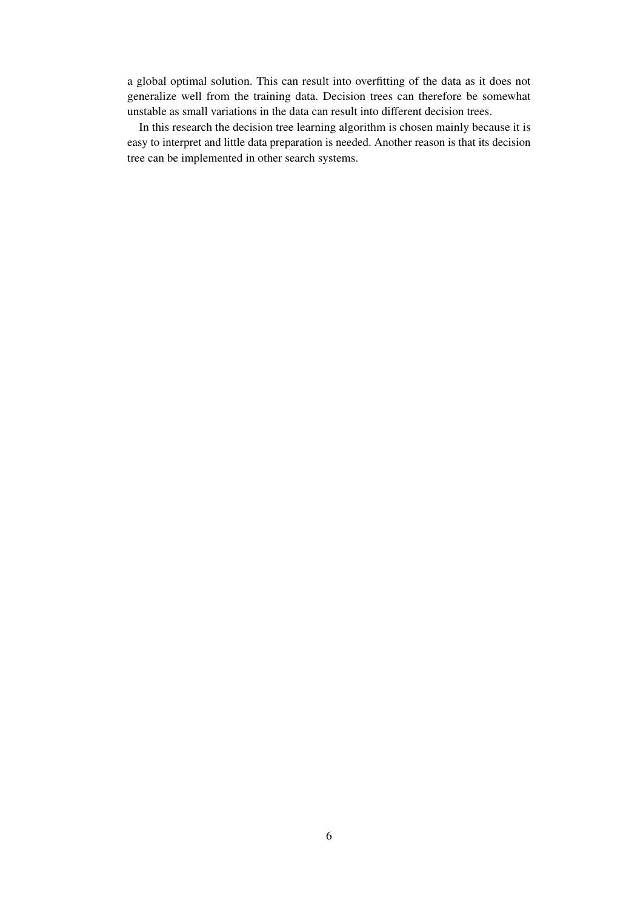a global optimal solution. This can result into overfitting of the data as it does not generalize well from the training data. Decision trees can therefore be somewhat unstable as small variations in the data can result into different decision trees.

In this research the decision tree learning algorithm is chosen mainly because it is easy to interpret and little data preparation is needed. Another reason is that its decision tree can be implemented in other search systems.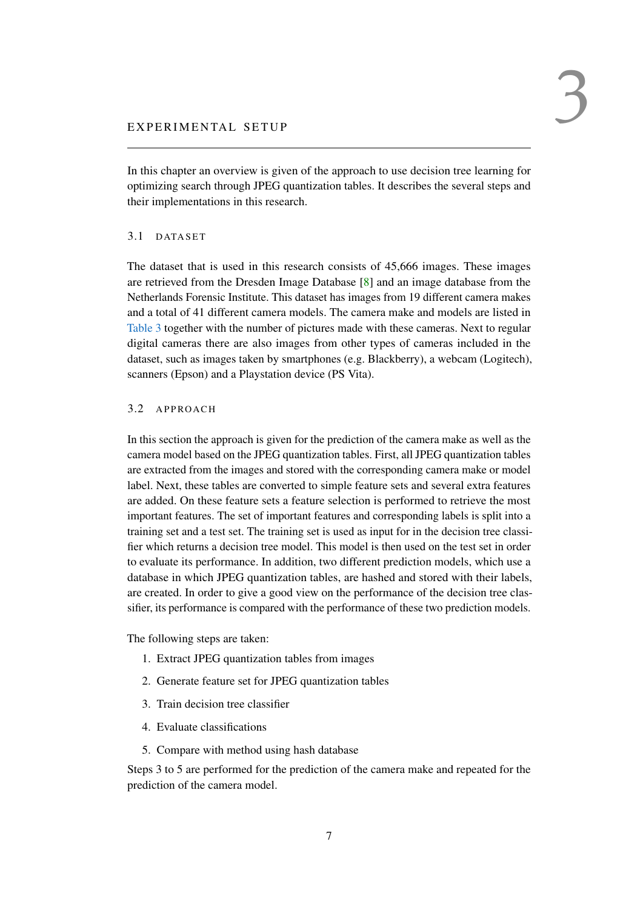<span id="page-9-0"></span>In this chapter an overview is given of the approach to use decision tree learning for optimizing search through JPEG quantization tables. It describes the several steps and their implementations in this research.

#### <span id="page-9-1"></span>3.1 DATASET

The dataset that is used in this research consists of 45,666 images. These images are retrieved from the Dresden Image Database [\[8\]](#page-23-11) and an image database from the Netherlands Forensic Institute. This dataset has images from 19 different camera makes and a total of 41 different camera models. The camera make and models are listed in [Table 3](#page-19-2) together with the number of pictures made with these cameras. Next to regular digital cameras there are also images from other types of cameras included in the dataset, such as images taken by smartphones (e.g. Blackberry), a webcam (Logitech), scanners (Epson) and a Playstation device (PS Vita).

# <span id="page-9-2"></span>3.2 A PPROACH

In this section the approach is given for the prediction of the camera make as well as the camera model based on the JPEG quantization tables. First, all JPEG quantization tables are extracted from the images and stored with the corresponding camera make or model label. Next, these tables are converted to simple feature sets and several extra features are added. On these feature sets a feature selection is performed to retrieve the most important features. The set of important features and corresponding labels is split into a training set and a test set. The training set is used as input for in the decision tree classifier which returns a decision tree model. This model is then used on the test set in order to evaluate its performance. In addition, two different prediction models, which use a database in which JPEG quantization tables, are hashed and stored with their labels, are created. In order to give a good view on the performance of the decision tree classifier, its performance is compared with the performance of these two prediction models.

The following steps are taken:

- 1. Extract JPEG quantization tables from images
- 2. Generate feature set for JPEG quantization tables
- 3. Train decision tree classifier
- 4. Evaluate classifications
- 5. Compare with method using hash database

<span id="page-9-3"></span>Steps 3 to 5 are performed for the prediction of the camera make and repeated for the prediction of the camera model.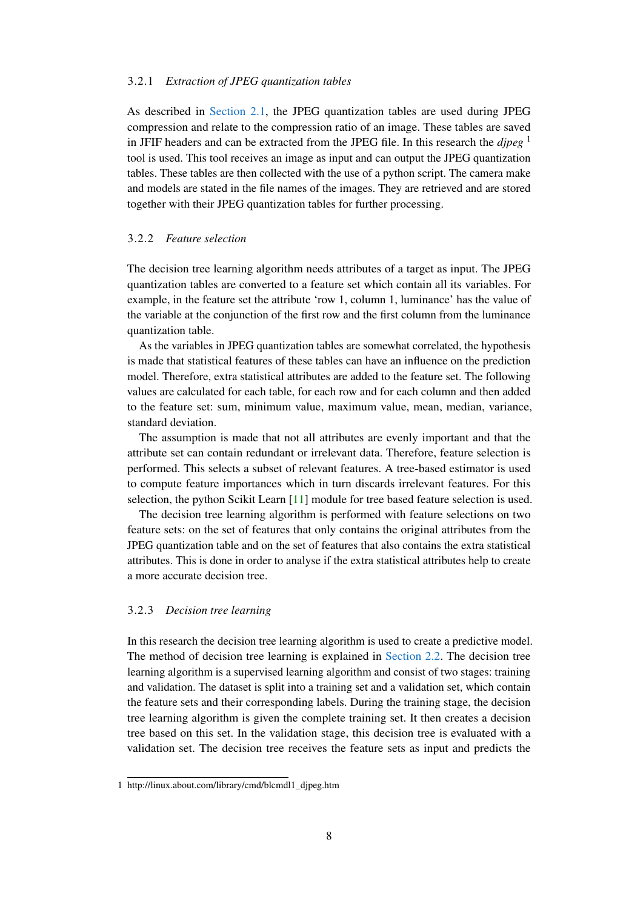#### 3.2.1 *Extraction of JPEG quantization tables*

As described in [Section 2.1,](#page-6-1) the JPEG quantization tables are used during JPEG compression and relate to the compression ratio of an image. These tables are saved in JFIF headers and can be extracted from the JPEG file. In this research the *djpeg* <sup>1</sup> tool is used. This tool receives an image as input and can output the JPEG quantization tables. These tables are then collected with the use of a python script. The camera make and models are stated in the file names of the images. They are retrieved and are stored together with their JPEG quantization tables for further processing.

#### <span id="page-10-0"></span>3.2.2 *Feature selection*

The decision tree learning algorithm needs attributes of a target as input. The JPEG quantization tables are converted to a feature set which contain all its variables. For example, in the feature set the attribute 'row 1, column 1, luminance' has the value of the variable at the conjunction of the first row and the first column from the luminance quantization table.

As the variables in JPEG quantization tables are somewhat correlated, the hypothesis is made that statistical features of these tables can have an influence on the prediction model. Therefore, extra statistical attributes are added to the feature set. The following values are calculated for each table, for each row and for each column and then added to the feature set: sum, minimum value, maximum value, mean, median, variance, standard deviation.

The assumption is made that not all attributes are evenly important and that the attribute set can contain redundant or irrelevant data. Therefore, feature selection is performed. This selects a subset of relevant features. A tree-based estimator is used to compute feature importances which in turn discards irrelevant features. For this selection, the python Scikit Learn [\[11\]](#page-23-12) module for tree based feature selection is used.

The decision tree learning algorithm is performed with feature selections on two feature sets: on the set of features that only contains the original attributes from the JPEG quantization table and on the set of features that also contains the extra statistical attributes. This is done in order to analyse if the extra statistical attributes help to create a more accurate decision tree.

#### <span id="page-10-1"></span>3.2.3 *Decision tree learning*

In this research the decision tree learning algorithm is used to create a predictive model. The method of decision tree learning is explained in [Section 2.2.](#page-7-0) The decision tree learning algorithm is a supervised learning algorithm and consist of two stages: training and validation. The dataset is split into a training set and a validation set, which contain the feature sets and their corresponding labels. During the training stage, the decision tree learning algorithm is given the complete training set. It then creates a decision tree based on this set. In the validation stage, this decision tree is evaluated with a validation set. The decision tree receives the feature sets as input and predicts the

<sup>1</sup> http://linux.about.com/library/cmd/blcmdl1\_djpeg.htm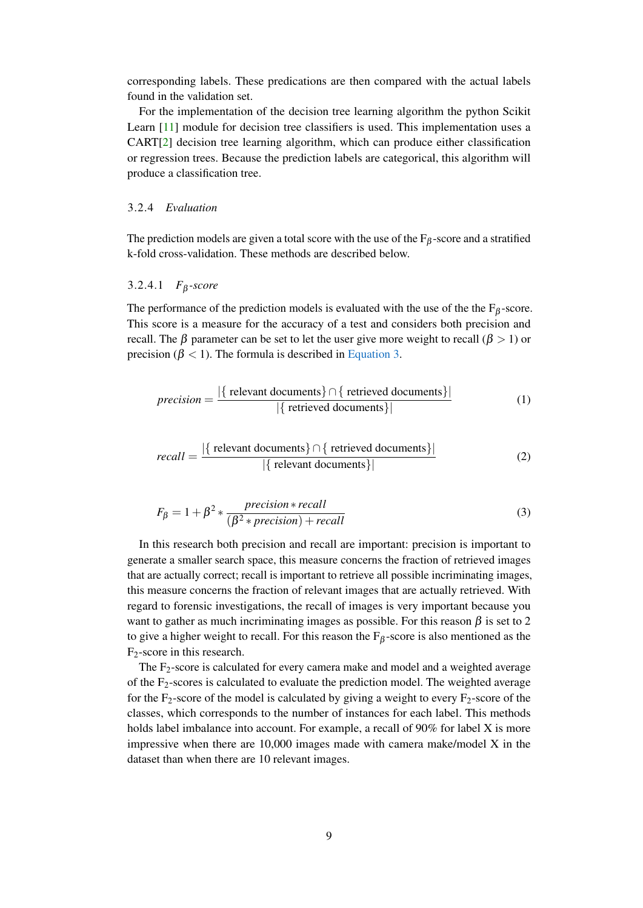corresponding labels. These predications are then compared with the actual labels found in the validation set.

For the implementation of the decision tree learning algorithm the python Scikit Learn [\[11\]](#page-23-12) module for decision tree classifiers is used. This implementation uses a CART[\[2\]](#page-23-13) decision tree learning algorithm, which can produce either classification or regression trees. Because the prediction labels are categorical, this algorithm will produce a classification tree.

#### <span id="page-11-0"></span>3.2.4 *Evaluation*

<span id="page-11-2"></span>The prediction models are given a total score with the use of the  $F_\beta$ -score and a stratified k-fold cross-validation. These methods are described below.

#### 3.2.4.1 *F*<sup>β</sup> *-score*

The performance of the prediction models is evaluated with the use of the the  $F_\beta$ -score. This score is a measure for the accuracy of a test and considers both precision and recall. The β parameter can be set to let the user give more weight to recall ( $\beta > 1$ ) or precision ( $\beta$  < 1). The formula is described in [Equation 3.](#page-11-1)

$$
precision = \frac{|\{\text{ relevant documents}\} \cap \{\text{ retrieved documents}\}|}{|\{\text{retrieved documents}\}|}
$$
(1)

$$
recall = \frac{|\{\text{ relevant documents}\} \cap \{\text{ retrieved documents}\}|}{|\{\text{ relevant documents}\}|}
$$
(2)

<span id="page-11-1"></span>
$$
F_{\beta} = 1 + \beta^2 * \frac{precision * recall}{(\beta^2 * precision) + recall}
$$
 (3)

In this research both precision and recall are important: precision is important to generate a smaller search space, this measure concerns the fraction of retrieved images that are actually correct; recall is important to retrieve all possible incriminating images, this measure concerns the fraction of relevant images that are actually retrieved. With regard to forensic investigations, the recall of images is very important because you want to gather as much incriminating images as possible. For this reason  $\beta$  is set to 2 to give a higher weight to recall. For this reason the  $F_\beta$ -score is also mentioned as the F2-score in this research.

The  $F_2$ -score is calculated for every camera make and model and a weighted average of the F2-scores is calculated to evaluate the prediction model. The weighted average for the  $F_2$ -score of the model is calculated by giving a weight to every  $F_2$ -score of the classes, which corresponds to the number of instances for each label. This methods holds label imbalance into account. For example, a recall of 90% for label X is more impressive when there are 10,000 images made with camera make/model X in the dataset than when there are 10 relevant images.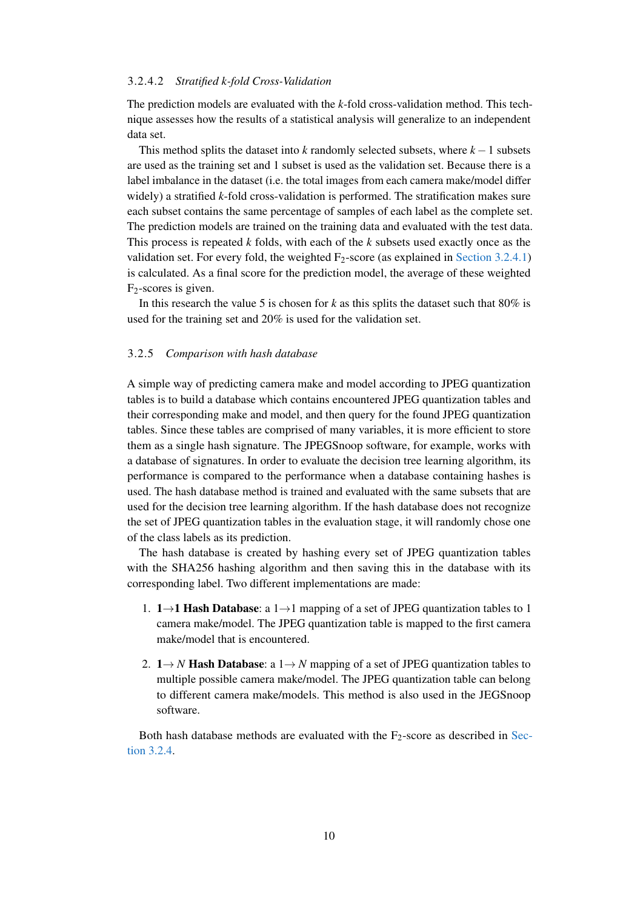#### 3.2.4.2 *Stratified k-fold Cross-Validation*

The prediction models are evaluated with the *k*-fold cross-validation method. This technique assesses how the results of a statistical analysis will generalize to an independent data set.

This method splits the dataset into *k* randomly selected subsets, where *k* −1 subsets are used as the training set and 1 subset is used as the validation set. Because there is a label imbalance in the dataset (i.e. the total images from each camera make/model differ widely) a stratified *k*-fold cross-validation is performed. The stratification makes sure each subset contains the same percentage of samples of each label as the complete set. The prediction models are trained on the training data and evaluated with the test data. This process is repeated *k* folds, with each of the *k* subsets used exactly once as the validation set. For every fold, the weighted  $F_2$ -score (as explained in [Section 3.2.4.1\)](#page-11-2) is calculated. As a final score for the prediction model, the average of these weighted  $F_2$ -scores is given.

In this research the value 5 is chosen for *k* as this splits the dataset such that 80% is used for the training set and 20% is used for the validation set.

#### <span id="page-12-0"></span>3.2.5 *Comparison with hash database*

A simple way of predicting camera make and model according to JPEG quantization tables is to build a database which contains encountered JPEG quantization tables and their corresponding make and model, and then query for the found JPEG quantization tables. Since these tables are comprised of many variables, it is more efficient to store them as a single hash signature. The JPEGSnoop software, for example, works with a database of signatures. In order to evaluate the decision tree learning algorithm, its performance is compared to the performance when a database containing hashes is used. The hash database method is trained and evaluated with the same subsets that are used for the decision tree learning algorithm. If the hash database does not recognize the set of JPEG quantization tables in the evaluation stage, it will randomly chose one of the class labels as its prediction.

The hash database is created by hashing every set of JPEG quantization tables with the SHA256 hashing algorithm and then saving this in the database with its corresponding label. Two different implementations are made:

- 1. 1→1 Hash Database: a 1→1 mapping of a set of JPEG quantization tables to 1 camera make/model. The JPEG quantization table is mapped to the first camera make/model that is encountered.
- 2.  $1 \rightarrow N$  **Hash Database**: a  $1 \rightarrow N$  mapping of a set of JPEG quantization tables to multiple possible camera make/model. The JPEG quantization table can belong to different camera make/models. This method is also used in the JEGSnoop software.

Both hash database methods are evaluated with the  $F_2$ -score as described in [Sec](#page-11-0)[tion 3.2.4.](#page-11-0)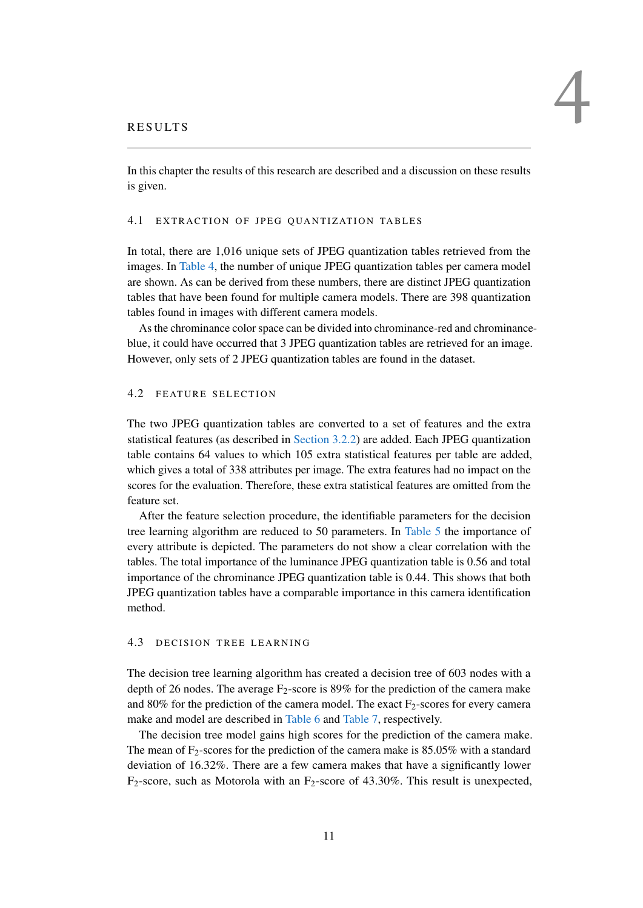<span id="page-13-0"></span>In this chapter the results of this research are described and a discussion on these results is given.

# <span id="page-13-1"></span>4.1 EXTRACTION OF JPEG QUANTIZATION TABLES

In total, there are 1,016 unique sets of JPEG quantization tables retrieved from the images. In [Table 4,](#page-20-1) the number of unique JPEG quantization tables per camera model are shown. As can be derived from these numbers, there are distinct JPEG quantization tables that have been found for multiple camera models. There are 398 quantization tables found in images with different camera models.

As the chrominance color space can be divided into chrominance-red and chrominanceblue, it could have occurred that 3 JPEG quantization tables are retrieved for an image. However, only sets of 2 JPEG quantization tables are found in the dataset.

#### <span id="page-13-2"></span>4.2 FEATURE SELECTION

The two JPEG quantization tables are converted to a set of features and the extra statistical features (as described in [Section 3.2.2\)](#page-10-0) are added. Each JPEG quantization table contains 64 values to which 105 extra statistical features per table are added, which gives a total of 338 attributes per image. The extra features had no impact on the scores for the evaluation. Therefore, these extra statistical features are omitted from the feature set.

After the feature selection procedure, the identifiable parameters for the decision tree learning algorithm are reduced to 50 parameters. In [Table 5](#page-21-3) the importance of every attribute is depicted. The parameters do not show a clear correlation with the tables. The total importance of the luminance JPEG quantization table is 0.56 and total importance of the chrominance JPEG quantization table is 0.44. This shows that both JPEG quantization tables have a comparable importance in this camera identification method.

# <span id="page-13-3"></span>4.3 DECISION TREE LEARNING

The decision tree learning algorithm has created a decision tree of 603 nodes with a depth of 26 nodes. The average  $F_2$ -score is 89% for the prediction of the camera make and 80% for the prediction of the camera model. The exact  $F_2$ -scores for every camera make and model are described in [Table 6](#page-21-4) and [Table 7,](#page-22-1) respectively.

The decision tree model gains high scores for the prediction of the camera make. The mean of  $F_2$ -scores for the prediction of the camera make is 85.05% with a standard deviation of 16.32%. There are a few camera makes that have a significantly lower  $F_2$ -score, such as Motorola with an  $F_2$ -score of 43.30%. This result is unexpected,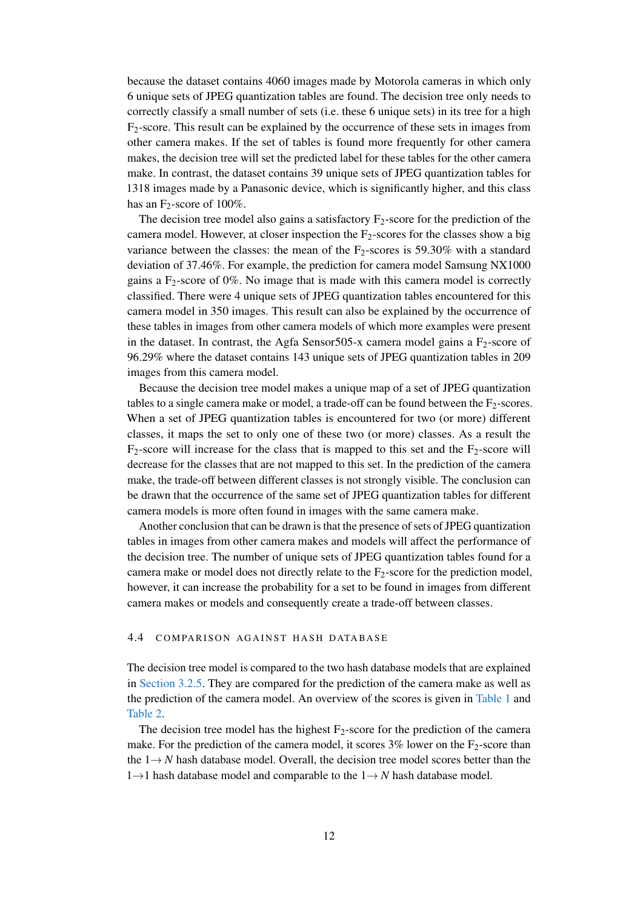because the dataset contains 4060 images made by Motorola cameras in which only 6 unique sets of JPEG quantization tables are found. The decision tree only needs to correctly classify a small number of sets (i.e. these 6 unique sets) in its tree for a high  $F_2$ -score. This result can be explained by the occurrence of these sets in images from other camera makes. If the set of tables is found more frequently for other camera makes, the decision tree will set the predicted label for these tables for the other camera make. In contrast, the dataset contains 39 unique sets of JPEG quantization tables for 1318 images made by a Panasonic device, which is significantly higher, and this class has an  $F_2$ -score of 100%.

The decision tree model also gains a satisfactory  $F_2$ -score for the prediction of the camera model. However, at closer inspection the  $F_2$ -scores for the classes show a big variance between the classes: the mean of the  $F_2$ -scores is 59.30% with a standard deviation of 37.46%. For example, the prediction for camera model Samsung NX1000 gains a  $F<sub>2</sub>$ -score of 0%. No image that is made with this camera model is correctly classified. There were 4 unique sets of JPEG quantization tables encountered for this camera model in 350 images. This result can also be explained by the occurrence of these tables in images from other camera models of which more examples were present in the dataset. In contrast, the Agfa Sensor505-x camera model gains a  $F_2$ -score of 96.29% where the dataset contains 143 unique sets of JPEG quantization tables in 209 images from this camera model.

Because the decision tree model makes a unique map of a set of JPEG quantization tables to a single camera make or model, a trade-off can be found between the  $F_2$ -scores. When a set of JPEG quantization tables is encountered for two (or more) different classes, it maps the set to only one of these two (or more) classes. As a result the  $F_2$ -score will increase for the class that is mapped to this set and the  $F_2$ -score will decrease for the classes that are not mapped to this set. In the prediction of the camera make, the trade-off between different classes is not strongly visible. The conclusion can be drawn that the occurrence of the same set of JPEG quantization tables for different camera models is more often found in images with the same camera make.

Another conclusion that can be drawn is that the presence of sets of JPEG quantization tables in images from other camera makes and models will affect the performance of the decision tree. The number of unique sets of JPEG quantization tables found for a camera make or model does not directly relate to the  $F<sub>2</sub>$ -score for the prediction model, however, it can increase the probability for a set to be found in images from different camera makes or models and consequently create a trade-off between classes.

#### <span id="page-14-0"></span>4.4 COMPARISON AGAINST HASH DATABASE

The decision tree model is compared to the two hash database models that are explained in [Section 3.2.5.](#page-12-0) They are compared for the prediction of the camera make as well as the prediction of the camera model. An overview of the scores is given in [Table 1](#page-15-1) and [Table 2.](#page-15-2)

The decision tree model has the highest  $F_2$ -score for the prediction of the camera make. For the prediction of the camera model, it scores  $3\%$  lower on the F<sub>2</sub>-score than the 1→ *N* hash database model. Overall, the decision tree model scores better than the 1→1 hash database model and comparable to the 1→ *N* hash database model.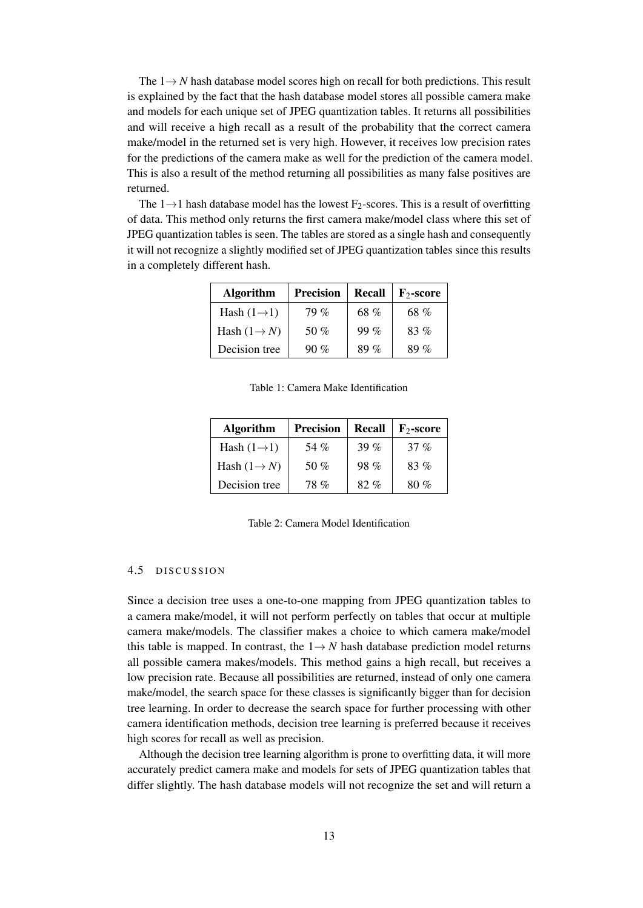The 1→ *N* hash database model scores high on recall for both predictions. This result is explained by the fact that the hash database model stores all possible camera make and models for each unique set of JPEG quantization tables. It returns all possibilities and will receive a high recall as a result of the probability that the correct camera make/model in the returned set is very high. However, it receives low precision rates for the predictions of the camera make as well for the prediction of the camera model. This is also a result of the method returning all possibilities as many false positives are returned.

<span id="page-15-1"></span>The  $1\rightarrow 1$  hash database model has the lowest F<sub>2</sub>-scores. This is a result of overfitting of data. This method only returns the first camera make/model class where this set of JPEG quantization tables is seen. The tables are stored as a single hash and consequently it will not recognize a slightly modified set of JPEG quantization tables since this results in a completely different hash.

| <b>Algorithm</b>         | <b>Precision</b> | Recall | $\mathbf{F}_2$ -score |
|--------------------------|------------------|--------|-----------------------|
| Hash $(1\rightarrow 1)$  | $79\%$           | 68 %   | 68 %                  |
| Hash $(1 \rightarrow N)$ | 50 $%$           | 99%    | $83\%$                |
| Decision tree            | $90\%$           | $89\%$ | 89 $\%$               |

Table 1: Camera Make Identification

<span id="page-15-2"></span>

| <b>Algorithm</b>         | <b>Precision</b> | <b>Recall</b> | $\mathbf{F}_2$ -score |
|--------------------------|------------------|---------------|-----------------------|
| Hash $(1\rightarrow 1)$  | 54 %             | 39 $%$        | $37\%$                |
| Hash $(1 \rightarrow N)$ | 50 $%$           | $98\%$        | 83%                   |
| Decision tree            | 78 %             | $82\%$        | 80%                   |

Table 2: Camera Model Identification

# <span id="page-15-0"></span>4.5 DISCUSSION

Since a decision tree uses a one-to-one mapping from JPEG quantization tables to a camera make/model, it will not perform perfectly on tables that occur at multiple camera make/models. The classifier makes a choice to which camera make/model this table is mapped. In contrast, the  $1 \rightarrow N$  hash database prediction model returns all possible camera makes/models. This method gains a high recall, but receives a low precision rate. Because all possibilities are returned, instead of only one camera make/model, the search space for these classes is significantly bigger than for decision tree learning. In order to decrease the search space for further processing with other camera identification methods, decision tree learning is preferred because it receives high scores for recall as well as precision.

Although the decision tree learning algorithm is prone to overfitting data, it will more accurately predict camera make and models for sets of JPEG quantization tables that differ slightly. The hash database models will not recognize the set and will return a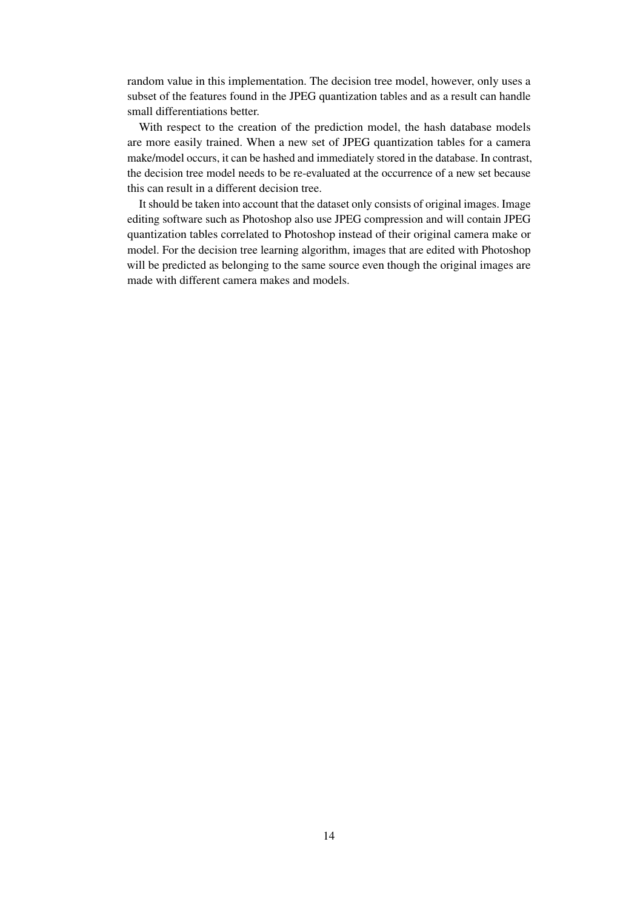random value in this implementation. The decision tree model, however, only uses a subset of the features found in the JPEG quantization tables and as a result can handle small differentiations better.

With respect to the creation of the prediction model, the hash database models are more easily trained. When a new set of JPEG quantization tables for a camera make/model occurs, it can be hashed and immediately stored in the database. In contrast, the decision tree model needs to be re-evaluated at the occurrence of a new set because this can result in a different decision tree.

It should be taken into account that the dataset only consists of original images. Image editing software such as Photoshop also use JPEG compression and will contain JPEG quantization tables correlated to Photoshop instead of their original camera make or model. For the decision tree learning algorithm, images that are edited with Photoshop will be predicted as belonging to the same source even though the original images are made with different camera makes and models.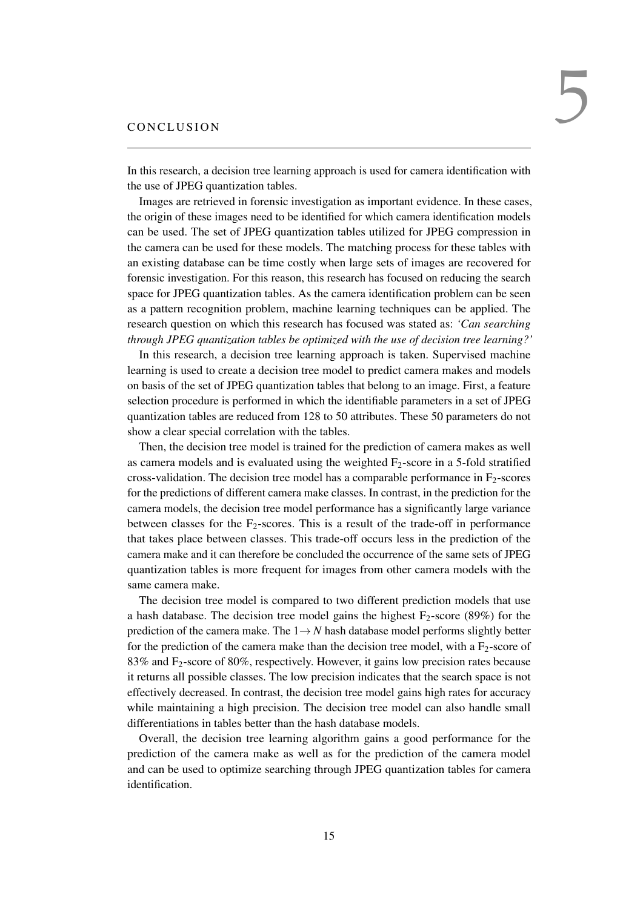<span id="page-17-0"></span>In this research, a decision tree learning approach is used for camera identification with the use of JPEG quantization tables.

Images are retrieved in forensic investigation as important evidence. In these cases, the origin of these images need to be identified for which camera identification models can be used. The set of JPEG quantization tables utilized for JPEG compression in the camera can be used for these models. The matching process for these tables with an existing database can be time costly when large sets of images are recovered for forensic investigation. For this reason, this research has focused on reducing the search space for JPEG quantization tables. As the camera identification problem can be seen as a pattern recognition problem, machine learning techniques can be applied. The research question on which this research has focused was stated as: *'Can searching through JPEG quantization tables be optimized with the use of decision tree learning?'*

In this research, a decision tree learning approach is taken. Supervised machine learning is used to create a decision tree model to predict camera makes and models on basis of the set of JPEG quantization tables that belong to an image. First, a feature selection procedure is performed in which the identifiable parameters in a set of JPEG quantization tables are reduced from 128 to 50 attributes. These 50 parameters do not show a clear special correlation with the tables.

Then, the decision tree model is trained for the prediction of camera makes as well as camera models and is evaluated using the weighted  $F_2$ -score in a 5-fold stratified cross-validation. The decision tree model has a comparable performance in  $F_2$ -scores for the predictions of different camera make classes. In contrast, in the prediction for the camera models, the decision tree model performance has a significantly large variance between classes for the  $F_2$ -scores. This is a result of the trade-off in performance that takes place between classes. This trade-off occurs less in the prediction of the camera make and it can therefore be concluded the occurrence of the same sets of JPEG quantization tables is more frequent for images from other camera models with the same camera make.

The decision tree model is compared to two different prediction models that use a hash database. The decision tree model gains the highest  $F_2$ -score (89%) for the prediction of the camera make. The  $1 \rightarrow N$  hash database model performs slightly better for the prediction of the camera make than the decision tree model, with a  $F_2$ -score of 83% and F2-score of 80%, respectively. However, it gains low precision rates because it returns all possible classes. The low precision indicates that the search space is not effectively decreased. In contrast, the decision tree model gains high rates for accuracy while maintaining a high precision. The decision tree model can also handle small differentiations in tables better than the hash database models.

<span id="page-17-1"></span>Overall, the decision tree learning algorithm gains a good performance for the prediction of the camera make as well as for the prediction of the camera model and can be used to optimize searching through JPEG quantization tables for camera identification.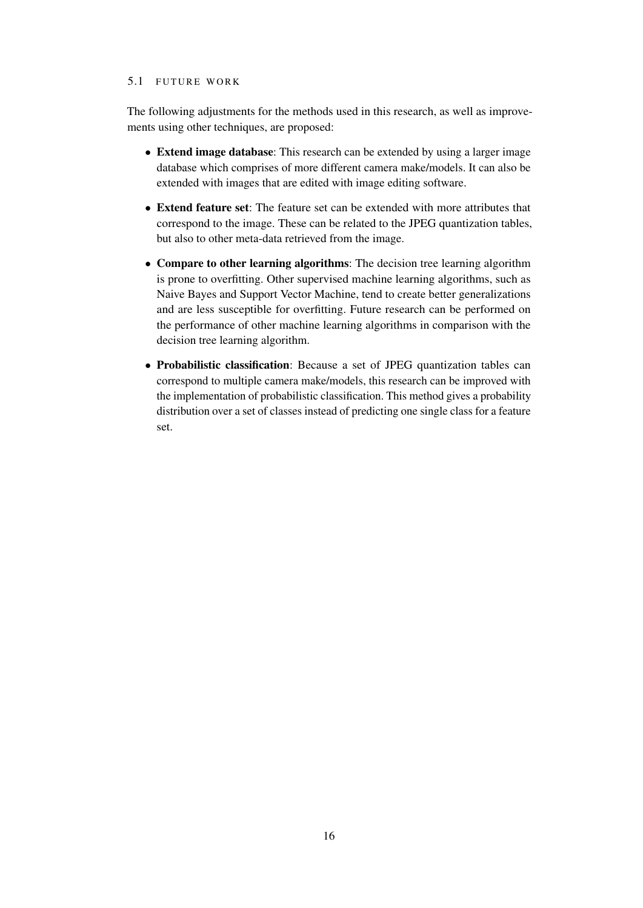#### 5.1 FUTURE WORK

The following adjustments for the methods used in this research, as well as improvements using other techniques, are proposed:

- Extend image database: This research can be extended by using a larger image database which comprises of more different camera make/models. It can also be extended with images that are edited with image editing software.
- Extend feature set: The feature set can be extended with more attributes that correspond to the image. These can be related to the JPEG quantization tables, but also to other meta-data retrieved from the image.
- Compare to other learning algorithms: The decision tree learning algorithm is prone to overfitting. Other supervised machine learning algorithms, such as Naive Bayes and Support Vector Machine, tend to create better generalizations and are less susceptible for overfitting. Future research can be performed on the performance of other machine learning algorithms in comparison with the decision tree learning algorithm.
- Probabilistic classification: Because a set of JPEG quantization tables can correspond to multiple camera make/models, this research can be improved with the implementation of probabilistic classification. This method gives a probability distribution over a set of classes instead of predicting one single class for a feature set.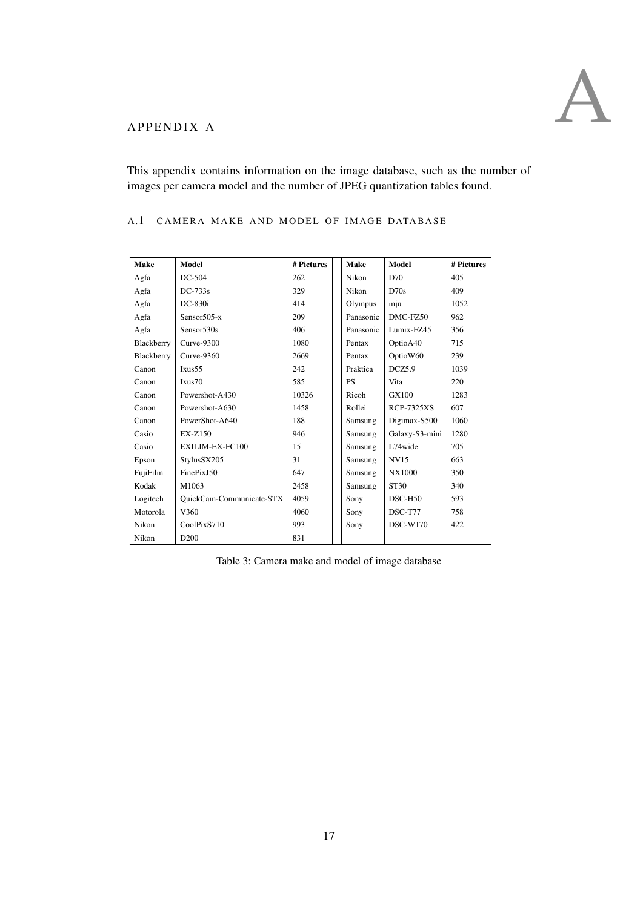

<span id="page-19-0"></span>This appendix contains information on the image database, such as the number of images per camera model and the number of JPEG quantization tables found.

<span id="page-19-1"></span>A.1 CAMERA MAKE AND MODEL OF IMAGE DATABASE

<span id="page-19-2"></span>

| Make       | Model                    | # Pictures | <b>Make</b> | Model             | # Pictures |
|------------|--------------------------|------------|-------------|-------------------|------------|
| Agfa       | DC-504                   | 262        | Nikon       | D70               | 405        |
| Agfa       | $DC-733s$                | 329        | Nikon       | D70s              | 409        |
| Agfa       | $DC-830i$                | 414        | Olympus     | mju               | 1052       |
| Agfa       | Sensor505-x              | 209        | Panasonic   | DMC-FZ50          | 962        |
| Agfa       | Sensor530s               | 406        | Panasonic   | Lumix-FZ45        | 356        |
| Blackberry | Curve-9300               | 1080       | Pentax      | OptioA40          | 715        |
| Blackberry | $Curve-9360$             | 2669       | Pentax      | OptioW60          | 239        |
| Canon      | Ixus <sub>55</sub>       | 242        | Praktica    | DCZ5.9            | 1039       |
| Canon      | Ixus70                   | 585        | <b>PS</b>   | Vita              | 220        |
| Canon      | Powershot-A430           | 10326      | Ricoh       | GX100             | 1283       |
| Canon      | Powershot-A630           | 1458       | Rollei      | <b>RCP-7325XS</b> | 607        |
| Canon      | PowerShot-A640           | 188        | Samsung     | Digimax-S500      | 1060       |
| Casio      | $EX-Z150$                | 946        | Samsung     | Galaxy-S3-mini    | 1280       |
| Casio      | EXILIM-EX-FC100          | 15         | Samsung     | L74wide           | 705        |
| Epson      | StylusSX205              | 31         | Samsung     | <b>NV15</b>       | 663        |
| FujiFilm   | FinePixJ50               | 647        | Samsung     | NX1000            | 350        |
| Kodak      | M1063                    | 2458       | Samsung     | <b>ST30</b>       | 340        |
| Logitech   | QuickCam-Communicate-STX | 4059       | Sony        | $DSC-H50$         | 593        |
| Motorola   | V360                     | 4060       | Sony        | $DSC-T77$         | 758        |
| Nikon      | CoolPixS710              | 993        | Sony        | <b>DSC-W170</b>   | 422        |
| Nikon      | D <sub>200</sub>         | 831        |             |                   |            |

Table 3: Camera make and model of image database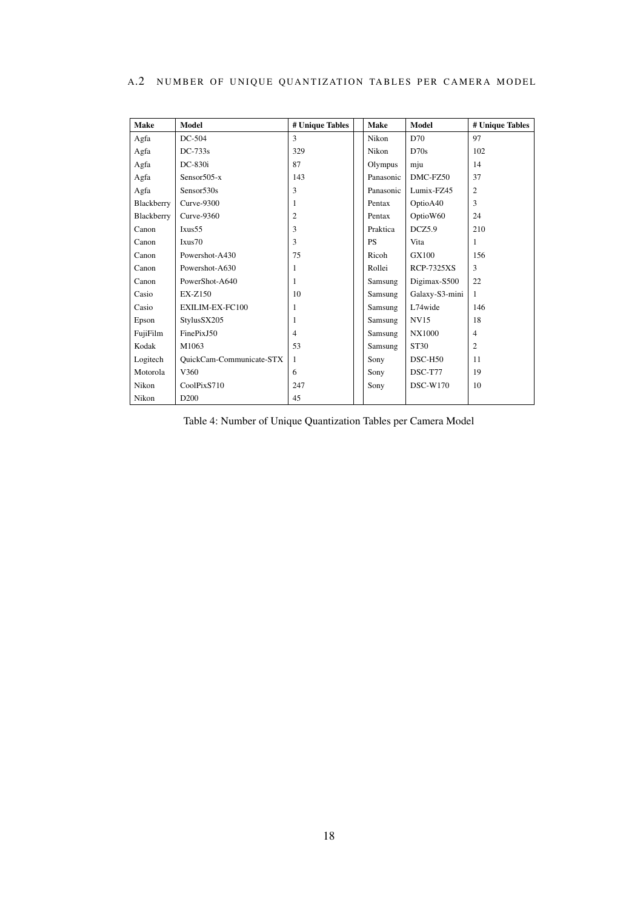<span id="page-20-0"></span>

|  |  |  |  | A.2 NUMBER OF UNIQUE QUANTIZATION TABLES PER CAMERA MODEL |  |  |  |  |
|--|--|--|--|-----------------------------------------------------------|--|--|--|--|
|--|--|--|--|-----------------------------------------------------------|--|--|--|--|

<span id="page-20-1"></span>

| <b>Make</b> | Model                    | # Unique Tables | <b>Make</b> | Model             | # Unique Tables |
|-------------|--------------------------|-----------------|-------------|-------------------|-----------------|
| Agfa        | DC-504                   | 3               | Nikon       | D70               | 97              |
| Agfa        | $DC-733s$                | 329             | Nikon       | D70s              | 102             |
| Agfa        | $DC-830i$                | 87              | Olympus     | mju               | 14              |
| Agfa        | Sensor $505-x$           | 143             | Panasonic   | DMC-FZ50          | 37              |
| Agfa        | Sensor <sub>530s</sub>   | 3               | Panasonic   | Lumix-FZ45        | $\overline{c}$  |
| Blackberry  | Curve-9300               | 1               | Pentax      | OptioA40          | 3               |
| Blackberry  | $Curve-9360$             | $\overline{c}$  | Pentax      | OptioW60          | 24              |
| Canon       | Ixus <sub>55</sub>       | 3               | Praktica    | DCZ5.9            | 210             |
| Canon       | Ixus70                   | 3               | <b>PS</b>   | Vita              | 1               |
| Canon       | Powershot-A430           | 75              | Ricoh       | GX100             | 156             |
| Canon       | Powershot-A630           | 1               | Rollei      | <b>RCP-7325XS</b> | 3               |
| Canon       | PowerShot-A640           | 1               | Samsung     | Digimax-S500      | 22              |
| Casio       | EX-Z150                  | 10              | Samsung     | Galaxy-S3-mini    | $\mathbf{1}$    |
| Casio       | EXILIM-EX-FC100          | 1               | Samsung     | L74wide           | 146             |
| Epson       | StylusSX205              | 1               | Samsung     | <b>NV15</b>       | 18              |
| FujiFilm    | FinePixJ50               | $\overline{4}$  | Samsung     | NX1000            | $\overline{4}$  |
| Kodak       | M1063                    | 53              | Samsung     | <b>ST30</b>       | $\overline{c}$  |
| Logitech    | QuickCam-Communicate-STX | -1              | Sony        | $DSC-H50$         | 11              |
| Motorola    | V360                     | 6               | Sony        | DSC-T77           | 19              |
| Nikon       | CoolPixS710              | 247             | Sony        | <b>DSC-W170</b>   | 10              |
| Nikon       | D <sub>200</sub>         | 45              |             |                   |                 |

Table 4: Number of Unique Quantization Tables per Camera Model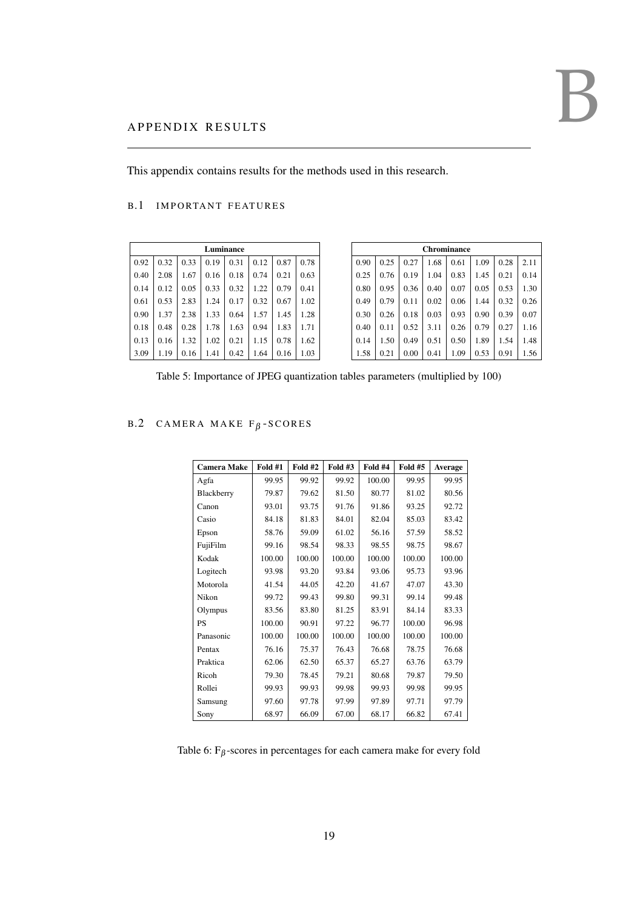# <span id="page-21-0"></span>A PPENDIX RESULTS

<span id="page-21-1"></span>This appendix contains results for the methods used in this research.

# B.1 IMPORTANT FEATURES

<span id="page-21-3"></span>

| Luminance |      |      |      |      |      |      |      |  |  |  |
|-----------|------|------|------|------|------|------|------|--|--|--|
| 0.92      | 0.32 | 0.33 | 0.19 | 0.31 | 0.12 | 0.87 | 0.78 |  |  |  |
| 0.40      | 2.08 | 1.67 | 0.16 | 0.18 | 0.74 | 0.21 | 0.63 |  |  |  |
| 0.14      | 0.12 | 0.05 | 0.33 | 0.32 | 1.22 | 0.79 | 0.41 |  |  |  |
| 0.61      | 0.53 | 2.83 | 1.24 | 0.17 | 0.32 | 0.67 | 1.02 |  |  |  |
| 0.90      | 1.37 | 2.38 | 1.33 | 0.64 | 1.57 | 1.45 | 1.28 |  |  |  |
| 0.18      | 0.48 | 0.28 | 1.78 | 1.63 | 0.94 | 1.83 | 1.71 |  |  |  |
| 0.13      | 0.16 | 1.32 | 1.02 | 0.21 | 1.15 | 0.78 | 1.62 |  |  |  |
| 3.09      | 1.19 | 0.16 | 1.41 | 0.42 | 1.64 | 0.16 | 1.03 |  |  |  |

|      | <b>Chrominance</b> |      |      |      |      |      |      |  |  |  |
|------|--------------------|------|------|------|------|------|------|--|--|--|
| 0.90 | 0.25               | 0.27 | 1.68 | 0.61 | 1.09 | 0.28 | 2.11 |  |  |  |
| 0.25 | 0.76               | 0.19 | 1.04 | 0.83 | 1.45 | 0.21 | 0.14 |  |  |  |
| 0.80 | 0.95               | 0.36 | 0.40 | 0.07 | 0.05 | 0.53 | 1.30 |  |  |  |
| 0.49 | 0.79               | 0.11 | 0.02 | 0.06 | 1.44 | 0.32 | 0.26 |  |  |  |
| 0.30 | 0.26               | 0.18 | 0.03 | 0.93 | 0.90 | 0.39 | 0.07 |  |  |  |
| 0.40 | 0.11               | 0.52 | 3.11 | 0.26 | 0.79 | 0.27 | 1.16 |  |  |  |
| 0.14 | 1.50               | 0.49 | 0.51 | 0.50 | 1.89 | 1.54 | 1.48 |  |  |  |
| 1.58 | 0.21               | 0.00 | 0.41 | 1.09 | 0.53 | 0.91 | 1.56 |  |  |  |

Table 5: Importance of JPEG quantization tables parameters (multiplied by 100)

# <span id="page-21-4"></span><span id="page-21-2"></span> $B.2$  CAMERA MAKE F $\beta$ -SCORES

| <b>Camera Make</b> | Fold #1 | <b>Fold #2</b> | Fold #3 | Fold #4 | <b>Fold #5</b> | Average |
|--------------------|---------|----------------|---------|---------|----------------|---------|
| Agfa               | 99.95   | 99.92          | 99.92   | 100.00  | 99.95          | 99.95   |
| Blackberry         | 79.87   | 79.62          | 81.50   | 80.77   | 81.02          | 80.56   |
| Canon              | 93.01   | 93.75          | 91.76   | 91.86   | 93.25          | 92.72   |
| Casio              | 84.18   | 81.83          | 84.01   | 82.04   | 85.03          | 83.42   |
| Epson              | 58.76   | 59.09          | 61.02   | 56.16   | 57.59          | 58.52   |
| FujiFilm           | 99.16   | 98.54          | 98.33   | 98.55   | 98.75          | 98.67   |
| Kodak              | 100.00  | 100.00         | 100.00  | 100.00  | 100.00         | 100.00  |
| Logitech           | 93.98   | 93.20          | 93.84   | 93.06   | 95.73          | 93.96   |
| Motorola           | 41.54   | 44.05          | 42.20   | 41.67   | 47.07          | 43.30   |
| Nikon              | 99.72   | 99.43          | 99.80   | 99.31   | 99.14          | 99.48   |
| Olympus            | 83.56   | 83.80          | 81.25   | 83.91   | 84.14          | 83.33   |
| <b>PS</b>          | 100.00  | 90.91          | 97.22   | 96.77   | 100.00         | 96.98   |
| Panasonic          | 100.00  | 100.00         | 100.00  | 100.00  | 100.00         | 100.00  |
| Pentax             | 76.16   | 75.37          | 76.43   | 76.68   | 78.75          | 76.68   |
| Praktica           | 62.06   | 62.50          | 65.37   | 65.27   | 63.76          | 63.79   |
| Ricoh              | 79.30   | 78.45          | 79.21   | 80.68   | 79.87          | 79.50   |
| Rollei             | 99.93   | 99.93          | 99.98   | 99.93   | 99.98          | 99.95   |
| Samsung            | 97.60   | 97.78          | 97.99   | 97.89   | 97.71          | 97.79   |
| Sony               | 68.97   | 66.09          | 67.00   | 68.17   | 66.82          | 67.41   |

Table 6:  $F_\beta$ -scores in percentages for each camera make for every fold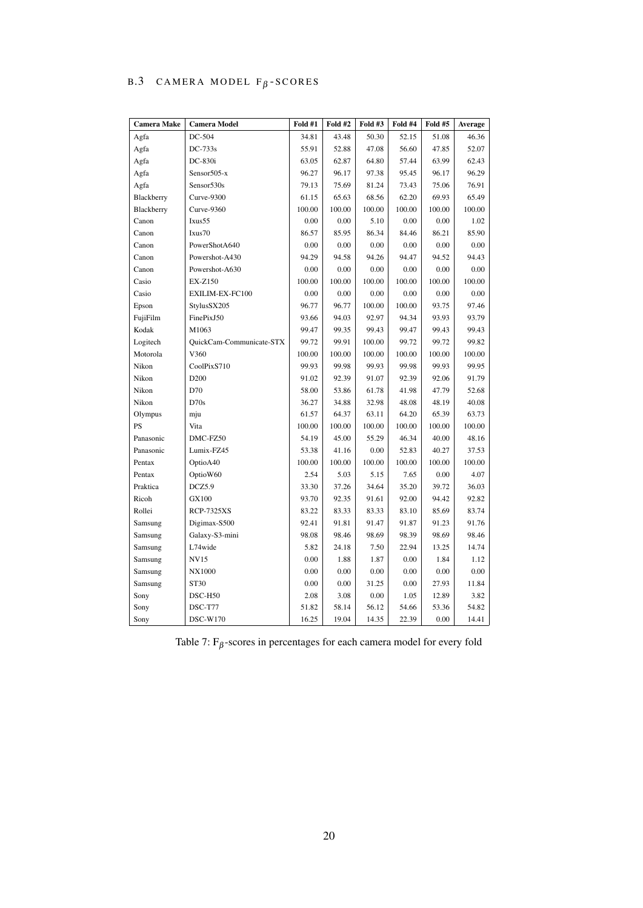# <span id="page-22-0"></span>B.3 CAMERA MODEL  $F_\beta$ -SCORES

<span id="page-22-1"></span>

| <b>Camera Make</b> | <b>Camera Model</b>      | Fold #1 | <b>Fold #2</b> | Fold #3 | Fold #4 | Fold #5 | Average |
|--------------------|--------------------------|---------|----------------|---------|---------|---------|---------|
| Agfa               | DC-504                   | 34.81   | 43.48          | 50.30   | 52.15   | 51.08   | 46.36   |
| Agfa               | DC-733s                  | 55.91   | 52.88          | 47.08   | 56.60   | 47.85   | 52.07   |
| Agfa               | DC-830i                  | 63.05   | 62.87          | 64.80   | 57.44   | 63.99   | 62.43   |
| Agfa               | Sensor505-x              | 96.27   | 96.17          | 97.38   | 95.45   | 96.17   | 96.29   |
| Agfa               | Sensor <sub>530s</sub>   | 79.13   | 75.69          | 81.24   | 73.43   | 75.06   | 76.91   |
| Blackberry         | Curve-9300               | 61.15   | 65.63          | 68.56   | 62.20   | 69.93   | 65.49   |
| Blackberry         | Curve-9360               | 100.00  | 100.00         | 100.00  | 100.00  | 100.00  | 100.00  |
| Canon              | Ixus55                   | 0.00    | 0.00           | 5.10    | 0.00    | 0.00    | 1.02    |
| Canon              | Ixus70                   | 86.57   | 85.95          | 86.34   | 84.46   | 86.21   | 85.90   |
| Canon              | PowerShotA640            | 0.00    | 0.00           | 0.00    | 0.00    | 0.00    | 0.00    |
| Canon              | Powershot-A430           | 94.29   | 94.58          | 94.26   | 94.47   | 94.52   | 94.43   |
| Canon              | Powershot-A630           | 0.00    | 0.00           | 0.00    | 0.00    | 0.00    | 0.00    |
| Casio              | EX-Z150                  | 100.00  | 100.00         | 100.00  | 100.00  | 100.00  | 100.00  |
| Casio              | EXILIM-EX-FC100          | 0.00    | 0.00           | 0.00    | 0.00    | 0.00    | 0.00    |
| Epson              | StylusSX205              | 96.77   | 96.77          | 100.00  | 100.00  | 93.75   | 97.46   |
| FujiFilm           | FinePixJ50               | 93.66   | 94.03          | 92.97   | 94.34   | 93.93   | 93.79   |
| Kodak              | M1063                    | 99.47   | 99.35          | 99.43   | 99.47   | 99.43   | 99.43   |
| Logitech           | QuickCam-Communicate-STX | 99.72   | 99.91          | 100.00  | 99.72   | 99.72   | 99.82   |
| Motorola           | V360                     | 100.00  | 100.00         | 100.00  | 100.00  | 100.00  | 100.00  |
| Nikon              | CoolPixS710              | 99.93   | 99.98          | 99.93   | 99.98   | 99.93   | 99.95   |
| Nikon              | D <sub>200</sub>         | 91.02   | 92.39          | 91.07   | 92.39   | 92.06   | 91.79   |
| Nikon              | D70                      | 58.00   | 53.86          | 61.78   | 41.98   | 47.79   | 52.68   |
| Nikon              | D70s                     | 36.27   | 34.88          | 32.98   | 48.08   | 48.19   | 40.08   |
| Olympus            | mju                      | 61.57   | 64.37          | 63.11   | 64.20   | 65.39   | 63.73   |
| PS                 | Vita                     | 100.00  | 100.00         | 100.00  | 100.00  | 100.00  | 100.00  |
| Panasonic          | DMC-FZ50                 | 54.19   | 45.00          | 55.29   | 46.34   | 40.00   | 48.16   |
| Panasonic          | Lumix-FZ45               | 53.38   | 41.16          | 0.00    | 52.83   | 40.27   | 37.53   |
| Pentax             | OptioA40                 | 100.00  | 100.00         | 100.00  | 100.00  | 100.00  | 100.00  |
| Pentax             | OptioW60                 | 2.54    | 5.03           | 5.15    | 7.65    | 0.00    | 4.07    |
| Praktica           | DCZ5.9                   | 33.30   | 37.26          | 34.64   | 35.20   | 39.72   | 36.03   |
| Ricoh              | GX100                    | 93.70   | 92.35          | 91.61   | 92.00   | 94.42   | 92.82   |
| Rollei             | <b>RCP-7325XS</b>        | 83.22   | 83.33          | 83.33   | 83.10   | 85.69   | 83.74   |
| Samsung            | Digimax-S500             | 92.41   | 91.81          | 91.47   | 91.87   | 91.23   | 91.76   |
| Samsung            | Galaxy-S3-mini           | 98.08   | 98.46          | 98.69   | 98.39   | 98.69   | 98.46   |
| Samsung            | L74wide                  | 5.82    | 24.18          | 7.50    | 22.94   | 13.25   | 14.74   |
| Samsung            | <b>NV15</b>              | 0.00    | 1.88           | 1.87    | 0.00    | 1.84    | 1.12    |
| Samsung            | <b>NX1000</b>            | 0.00    | 0.00           | 0.00    | 0.00    | 0.00    | 0.00    |
| Samsung            | <b>ST30</b>              | 0.00    | 0.00           | 31.25   | 0.00    | 27.93   | 11.84   |
| Sony               | DSC-H50                  | 2.08    | 3.08           | 0.00    | 1.05    | 12.89   | 3.82    |
| Sony               | DSC-T77                  | 51.82   | 58.14          | 56.12   | 54.66   | 53.36   | 54.82   |
| Sony               | <b>DSC-W170</b>          | 16.25   | 19.04          | 14.35   | 22.39   | 0.00    | 14.41   |

Table 7:  $F_\beta$ -scores in percentages for each camera model for every fold